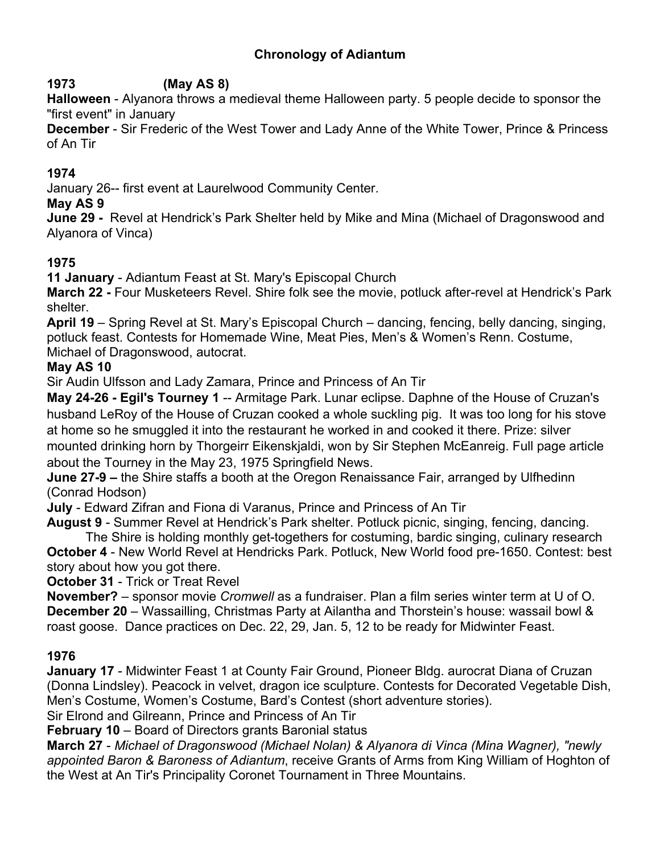## **Chronology of Adiantum**

### **1973 (May AS 8)**

**Halloween** - Alyanora throws a medieval theme Halloween party. 5 people decide to sponsor the "first event" in January

**December** - Sir Frederic of the West Tower and Lady Anne of the White Tower, Prince & Princess of An Tir

## **1974**

January 26-- first event at Laurelwood Community Center.

#### **May AS 9**

**June 29 -** Revel at Hendrick's Park Shelter held by Mike and Mina (Michael of Dragonswood and Alyanora of Vinca)

#### **1975**

**11 January** - Adiantum Feast at St. Mary's Episcopal Church

**March 22 -** Four Musketeers Revel. Shire folk see the movie, potluck after-revel at Hendrick's Park shelter.

**April 19** – Spring Revel at St. Mary's Episcopal Church – dancing, fencing, belly dancing, singing, potluck feast. Contests for Homemade Wine, Meat Pies, Men's & Women's Renn. Costume, Michael of Dragonswood, autocrat.

#### **May AS 10**

Sir Audin Ulfsson and Lady Zamara, Prince and Princess of An Tir

**May 24-26 - Egil's Tourney 1** -- Armitage Park. Lunar eclipse. Daphne of the House of Cruzan's husband LeRoy of the House of Cruzan cooked a whole suckling pig. It was too long for his stove at home so he smuggled it into the restaurant he worked in and cooked it there. Prize: silver mounted drinking horn by Thorgeirr Eikenskjaldi, won by Sir Stephen McEanreig. Full page article about the Tourney in the May 23, 1975 Springfield News.

**June 27-9 –** the Shire staffs a booth at the Oregon Renaissance Fair, arranged by Ulfhedinn (Conrad Hodson)

**July** - Edward Zifran and Fiona di Varanus, Prince and Princess of An Tir

**August 9** - Summer Revel at Hendrick's Park shelter. Potluck picnic, singing, fencing, dancing. The Shire is holding monthly get-togethers for costuming, bardic singing, culinary research

**October 4** - New World Revel at Hendricks Park. Potluck, New World food pre-1650. Contest: best story about how you got there.

**October 31** - Trick or Treat Revel

**November?** – sponsor movie *Cromwell* as a fundraiser. Plan a film series winter term at U of O. **December 20** – Wassailling, Christmas Party at Ailantha and Thorstein's house: wassail bowl & roast goose. Dance practices on Dec. 22, 29, Jan. 5, 12 to be ready for Midwinter Feast.

## **1976**

**January 17** - Midwinter Feast 1 at County Fair Ground, Pioneer Bldg. aurocrat Diana of Cruzan (Donna Lindsley). Peacock in velvet, dragon ice sculpture. Contests for Decorated Vegetable Dish, Men's Costume, Women's Costume, Bard's Contest (short adventure stories).

Sir Elrond and Gilreann, Prince and Princess of An Tir

**February 10** – Board of Directors grants Baronial status

**March 27** - *Michael of Dragonswood (Michael Nolan) & Alyanora di Vinca (Mina Wagner), "newly appointed Baron & Baroness of Adiantum*, receive Grants of Arms from King William of Hoghton of the West at An Tir's Principality Coronet Tournament in Three Mountains.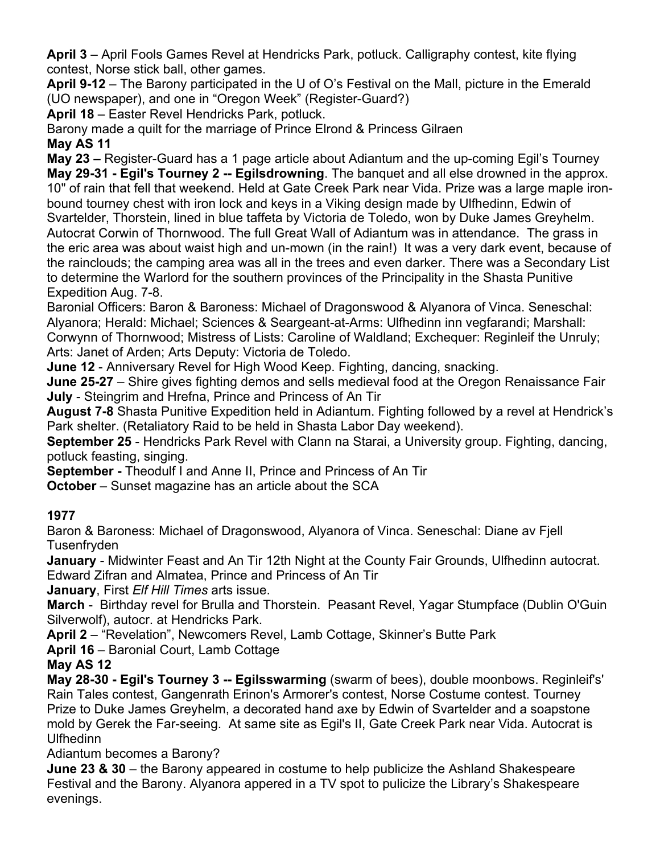**April 3** – April Fools Games Revel at Hendricks Park, potluck. Calligraphy contest, kite flying contest, Norse stick ball, other games.

**April 9-12** – The Barony participated in the U of O's Festival on the Mall, picture in the Emerald (UO newspaper), and one in "Oregon Week" (Register-Guard?)

**April 18** – Easter Revel Hendricks Park, potluck.

Barony made a quilt for the marriage of Prince Elrond & Princess Gilraen **May AS 11**

**May 23 –** Register-Guard has a 1 page article about Adiantum and the up-coming Egil's Tourney **May 29-31 - Egil's Tourney 2 -- Egilsdrowning**. The banquet and all else drowned in the approx. 10" of rain that fell that weekend. Held at Gate Creek Park near Vida. Prize was a large maple ironbound tourney chest with iron lock and keys in a Viking design made by Ulfhedinn, Edwin of Svartelder, Thorstein, lined in blue taffeta by Victoria de Toledo, won by Duke James Greyhelm. Autocrat Corwin of Thornwood. The full Great Wall of Adiantum was in attendance. The grass in the eric area was about waist high and un-mown (in the rain!) It was a very dark event, because of the rainclouds; the camping area was all in the trees and even darker. There was a Secondary List to determine the Warlord for the southern provinces of the Principality in the Shasta Punitive Expedition Aug. 7-8.

Baronial Officers: Baron & Baroness: Michael of Dragonswood & Alyanora of Vinca. Seneschal: Alyanora; Herald: Michael; Sciences & Seargeant-at-Arms: Ulfhedinn inn vegfarandi; Marshall: Corwynn of Thornwood; Mistress of Lists: Caroline of Waldland; Exchequer: Reginleif the Unruly; Arts: Janet of Arden; Arts Deputy: Victoria de Toledo.

**June 12** - Anniversary Revel for High Wood Keep. Fighting, dancing, snacking.

**June 25-27** – Shire gives fighting demos and sells medieval food at the Oregon Renaissance Fair **July** - Steingrim and Hrefna, Prince and Princess of An Tir

**August 7-8** Shasta Punitive Expedition held in Adiantum. Fighting followed by a revel at Hendrick's Park shelter. (Retaliatory Raid to be held in Shasta Labor Day weekend).

**September 25** - Hendricks Park Revel with Clann na Starai, a University group. Fighting, dancing, potluck feasting, singing.

**September -** Theodulf I and Anne II, Prince and Princess of An Tir

**October** – Sunset magazine has an article about the SCA

## **1977**

Baron & Baroness: Michael of Dragonswood, Alyanora of Vinca. Seneschal: Diane av Fjell **Tusenfryden** 

**January** - Midwinter Feast and An Tir 12th Night at the County Fair Grounds, Ulfhedinn autocrat. Edward Zifran and Almatea, Prince and Princess of An Tir

**January**, First *Elf Hill Times* arts issue.

**March** - Birthday revel for Brulla and Thorstein. Peasant Revel, Yagar Stumpface (Dublin O'Guin Silverwolf), autocr. at Hendricks Park.

**April 2** – "Revelation", Newcomers Revel, Lamb Cottage, Skinner's Butte Park

**April 16** – Baronial Court, Lamb Cottage

## **May AS 12**

**May 28-30 - Egil's Tourney 3 -- Egilsswarming** (swarm of bees), double moonbows. Reginleif's' Rain Tales contest, Gangenrath Erinon's Armorer's contest, Norse Costume contest. Tourney Prize to Duke James Greyhelm, a decorated hand axe by Edwin of Svartelder and a soapstone mold by Gerek the Far-seeing. At same site as Egil's II, Gate Creek Park near Vida. Autocrat is Ulfhedinn

Adiantum becomes a Barony?

**June 23 & 30** – the Barony appeared in costume to help publicize the Ashland Shakespeare Festival and the Barony. Alyanora appered in a TV spot to pulicize the Library's Shakespeare evenings.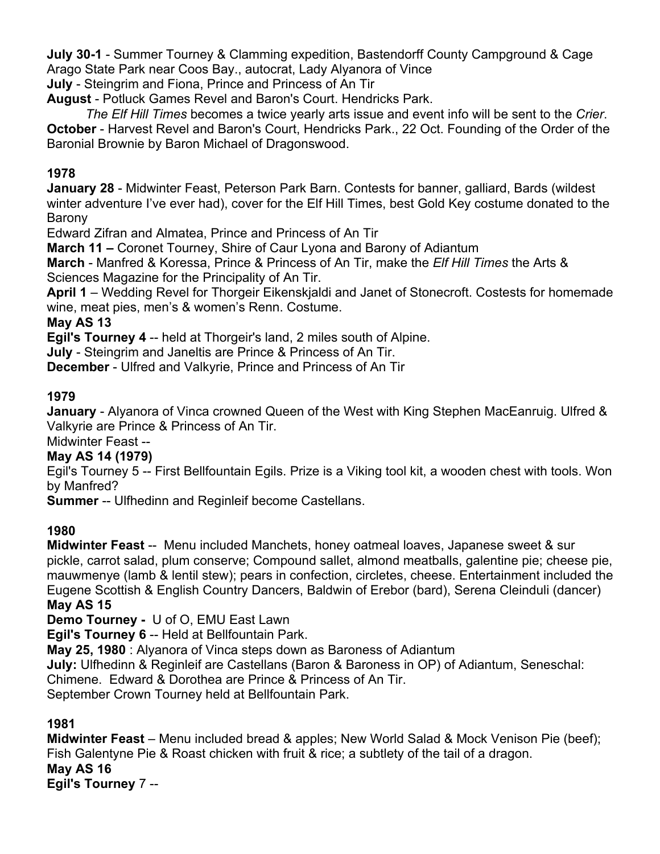**July 30-1** - Summer Tourney & Clamming expedition, Bastendorff County Campground & Cage Arago State Park near Coos Bay., autocrat, Lady Alyanora of Vince

**July** - Steingrim and Fiona, Prince and Princess of An Tir

**August** - Potluck Games Revel and Baron's Court. Hendricks Park.

*The Elf Hill Times* becomes a twice yearly arts issue and event info will be sent to the *Crier*. **October** - Harvest Revel and Baron's Court, Hendricks Park., 22 Oct. Founding of the Order of the Baronial Brownie by Baron Michael of Dragonswood.

#### **1978**

**January 28** - Midwinter Feast, Peterson Park Barn. Contests for banner, galliard, Bards (wildest winter adventure I've ever had), cover for the Elf Hill Times, best Gold Key costume donated to the Barony

Edward Zifran and Almatea, Prince and Princess of An Tir

**March 11 –** Coronet Tourney, Shire of Caur Lyona and Barony of Adiantum

**March** - Manfred & Koressa, Prince & Princess of An Tir, make the *Elf Hill Times* the Arts & Sciences Magazine for the Principality of An Tir.

**April 1** – Wedding Revel for Thorgeir Eikenskjaldi and Janet of Stonecroft. Costests for homemade wine, meat pies, men's & women's Renn. Costume.

#### **May AS 13**

**Egil's Tourney 4** -- held at Thorgeir's land, 2 miles south of Alpine.

**July** - Steingrim and Janeltis are Prince & Princess of An Tir.

**December** - Ulfred and Valkyrie, Prince and Princess of An Tir

#### **1979**

**January** - Alyanora of Vinca crowned Queen of the West with King Stephen MacEanruig. Ulfred & Valkyrie are Prince & Princess of An Tir.

# Midwinter Feast --

**May AS 14 (1979)**

Egil's Tourney 5 -- First Bellfountain Egils. Prize is a Viking tool kit, a wooden chest with tools. Won by Manfred?

**Summer** -- Ulfhedinn and Reginleif become Castellans.

#### **1980**

**Midwinter Feast** -- Menu included Manchets, honey oatmeal loaves, Japanese sweet & sur pickle, carrot salad, plum conserve; Compound sallet, almond meatballs, galentine pie; cheese pie, mauwmenye (lamb & lentil stew); pears in confection, circletes, cheese. Entertainment included the Eugene Scottish & English Country Dancers, Baldwin of Erebor (bard), Serena Cleinduli (dancer) **May AS 15**

**Demo Tourney -** U of O, EMU East Lawn

**Egil's Tourney 6** -- Held at Bellfountain Park.

**May 25, 1980** : Alyanora of Vinca steps down as Baroness of Adiantum

**July:** Ulfhedinn & Reginleif are Castellans (Baron & Baroness in OP) of Adiantum, Seneschal:

Chimene. Edward & Dorothea are Prince & Princess of An Tir.

September Crown Tourney held at Bellfountain Park.

#### **1981**

**Midwinter Feast** – Menu included bread & apples; New World Salad & Mock Venison Pie (beef); Fish Galentyne Pie & Roast chicken with fruit & rice; a subtlety of the tail of a dragon. **May AS 16 Egil's Tourney** 7 --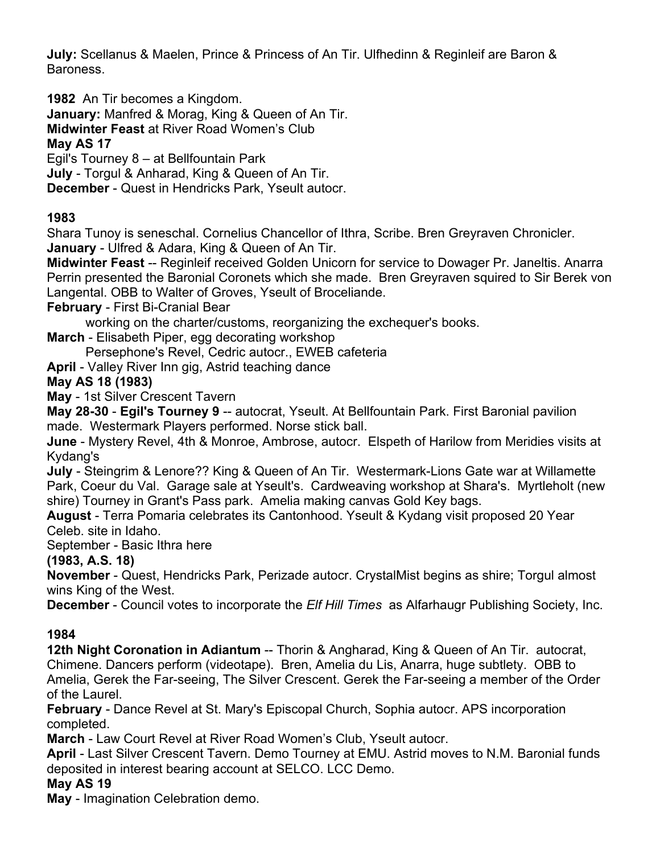**July:** Scellanus & Maelen, Prince & Princess of An Tir. Ulfhedinn & Reginleif are Baron & Baroness.

**1982** An Tir becomes a Kingdom.

**January:** Manfred & Morag, King & Queen of An Tir.

**Midwinter Feast** at River Road Women's Club

### **May AS 17**

Egil's Tourney 8 – at Bellfountain Park

**July** - Torgul & Anharad, King & Queen of An Tir.

**December** - Quest in Hendricks Park, Yseult autocr.

## **1983**

Shara Tunoy is seneschal. Cornelius Chancellor of Ithra, Scribe. Bren Greyraven Chronicler. **January** - Ulfred & Adara, King & Queen of An Tir.

**Midwinter Feast** -- Reginleif received Golden Unicorn for service to Dowager Pr. Janeltis. Anarra Perrin presented the Baronial Coronets which she made. Bren Greyraven squired to Sir Berek von Langental. OBB to Walter of Groves, Yseult of Broceliande.

**February** - First Bi-Cranial Bear

working on the charter/customs, reorganizing the exchequer's books.

**March** - Elisabeth Piper, egg decorating workshop

Persephone's Revel, Cedric autocr., EWEB cafeteria

**April** - Valley River Inn gig, Astrid teaching dance

### **May AS 18 (1983)**

**May** - 1st Silver Crescent Tavern

**May 28-30** - **Egil's Tourney 9** -- autocrat, Yseult. At Bellfountain Park. First Baronial pavilion made. Westermark Players performed. Norse stick ball.

**June** - Mystery Revel, 4th & Monroe, Ambrose, autocr. Elspeth of Harilow from Meridies visits at Kydang's

**July** - Steingrim & Lenore?? King & Queen of An Tir. Westermark-Lions Gate war at Willamette Park, Coeur du Val. Garage sale at Yseult's. Cardweaving workshop at Shara's. Myrtleholt (new shire) Tourney in Grant's Pass park. Amelia making canvas Gold Key bags.

**August** - Terra Pomaria celebrates its Cantonhood. Yseult & Kydang visit proposed 20 Year Celeb. site in Idaho.

September - Basic Ithra here

## **(1983, A.S. 18)**

**November** - Quest, Hendricks Park, Perizade autocr. CrystalMist begins as shire; Torgul almost wins King of the West.

**December** - Council votes to incorporate the *Elf Hill Times* as Alfarhaugr Publishing Society, Inc.

## **1984**

**12th Night Coronation in Adiantum** -- Thorin & Angharad, King & Queen of An Tir. autocrat, Chimene. Dancers perform (videotape). Bren, Amelia du Lis, Anarra, huge subtlety. OBB to Amelia, Gerek the Far-seeing, The Silver Crescent. Gerek the Far-seeing a member of the Order of the Laurel.

**February** - Dance Revel at St. Mary's Episcopal Church, Sophia autocr. APS incorporation completed.

**March** - Law Court Revel at River Road Women's Club, Yseult autocr.

**April** - Last Silver Crescent Tavern. Demo Tourney at EMU. Astrid moves to N.M. Baronial funds deposited in interest bearing account at SELCO. LCC Demo.

#### **May AS 19**

**May** - Imagination Celebration demo.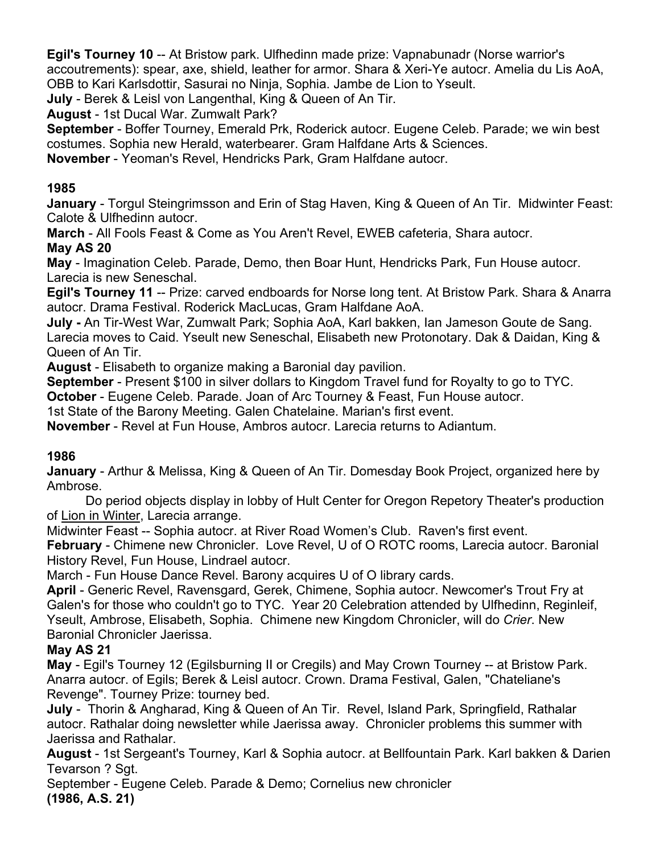**Egil's Tourney 10** -- At Bristow park. Ulfhedinn made prize: Vapnabunadr (Norse warrior's accoutrements): spear, axe, shield, leather for armor. Shara & Xeri-Ye autocr. Amelia du Lis AoA, OBB to Kari Karlsdottir, Sasurai no Ninja, Sophia. Jambe de Lion to Yseult.

**July** - Berek & Leisl von Langenthal, King & Queen of An Tir.

**August** - 1st Ducal War. Zumwalt Park?

**September** - Boffer Tourney, Emerald Prk, Roderick autocr. Eugene Celeb. Parade; we win best costumes. Sophia new Herald, waterbearer. Gram Halfdane Arts & Sciences.

**November** - Yeoman's Revel, Hendricks Park, Gram Halfdane autocr.

## **1985**

**January** - Torgul Steingrimsson and Erin of Stag Haven, King & Queen of An Tir. Midwinter Feast: Calote & Ulfhedinn autocr.

**March** - All Fools Feast & Come as You Aren't Revel, EWEB cafeteria, Shara autocr. **May AS 20**

**May** - Imagination Celeb. Parade, Demo, then Boar Hunt, Hendricks Park, Fun House autocr. Larecia is new Seneschal.

**Egil's Tourney 11** -- Prize: carved endboards for Norse long tent. At Bristow Park. Shara & Anarra autocr. Drama Festival. Roderick MacLucas, Gram Halfdane AoA.

**July -** An Tir-West War, Zumwalt Park; Sophia AoA, Karl bakken, Ian Jameson Goute de Sang. Larecia moves to Caid. Yseult new Seneschal, Elisabeth new Protonotary. Dak & Daidan, King & Queen of An Tir.

**August** - Elisabeth to organize making a Baronial day pavilion.

**September** - Present \$100 in silver dollars to Kingdom Travel fund for Royalty to go to TYC.

**October** - Eugene Celeb. Parade. Joan of Arc Tourney & Feast, Fun House autocr.

1st State of the Barony Meeting. Galen Chatelaine. Marian's first event.

**November** - Revel at Fun House, Ambros autocr. Larecia returns to Adiantum.

## **1986**

**January** - Arthur & Melissa, King & Queen of An Tir. Domesday Book Project, organized here by Ambrose.

Do period objects display in lobby of Hult Center for Oregon Repetory Theater's production of Lion in Winter, Larecia arrange.

Midwinter Feast -- Sophia autocr. at River Road Women's Club. Raven's first event.

**February** - Chimene new Chronicler. Love Revel, U of O ROTC rooms, Larecia autocr. Baronial History Revel, Fun House, Lindrael autocr.

March - Fun House Dance Revel. Barony acquires U of O library cards.

**April** - Generic Revel, Ravensgard, Gerek, Chimene, Sophia autocr. Newcomer's Trout Fry at Galen's for those who couldn't go to TYC. Year 20 Celebration attended by Ulfhedinn, Reginleif, Yseult, Ambrose, Elisabeth, Sophia. Chimene new Kingdom Chronicler, will do *Crier*. New Baronial Chronicler Jaerissa.

#### **May AS 21**

**May** - Egil's Tourney 12 (Egilsburning II or Cregils) and May Crown Tourney -- at Bristow Park. Anarra autocr. of Egils; Berek & Leisl autocr. Crown. Drama Festival, Galen, "Chateliane's Revenge". Tourney Prize: tourney bed.

**July** - Thorin & Angharad, King & Queen of An Tir. Revel, Island Park, Springfield, Rathalar autocr. Rathalar doing newsletter while Jaerissa away. Chronicler problems this summer with Jaerissa and Rathalar.

**August** - 1st Sergeant's Tourney, Karl & Sophia autocr. at Bellfountain Park. Karl bakken & Darien Tevarson ? Sgt.

September - Eugene Celeb. Parade & Demo; Cornelius new chronicler **(1986, A.S. 21)**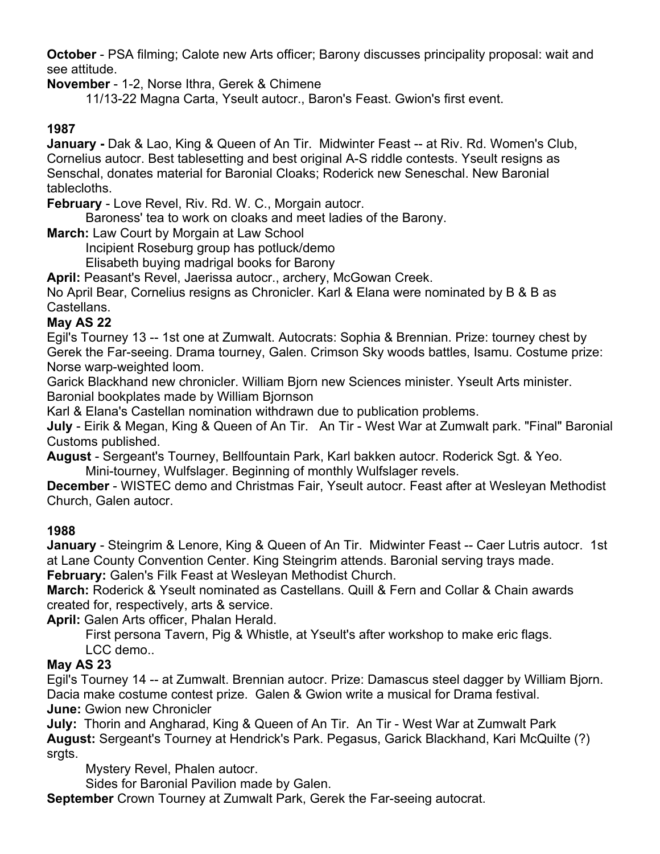**October** - PSA filming; Calote new Arts officer; Barony discusses principality proposal: wait and see attitude.

**November** - 1-2, Norse Ithra, Gerek & Chimene

11/13-22 Magna Carta, Yseult autocr., Baron's Feast. Gwion's first event.

#### **1987**

**January -** Dak & Lao, King & Queen of An Tir. Midwinter Feast -- at Riv. Rd. Women's Club, Cornelius autocr. Best tablesetting and best original A-S riddle contests. Yseult resigns as Senschal, donates material for Baronial Cloaks; Roderick new Seneschal. New Baronial tablecloths.

**February** - Love Revel, Riv. Rd. W. C., Morgain autocr.

Baroness' tea to work on cloaks and meet ladies of the Barony.

**March:** Law Court by Morgain at Law School

Incipient Roseburg group has potluck/demo

Elisabeth buying madrigal books for Barony

**April:** Peasant's Revel, Jaerissa autocr., archery, McGowan Creek.

No April Bear, Cornelius resigns as Chronicler. Karl & Elana were nominated by B & B as Castellans.

#### **May AS 22**

Egil's Tourney 13 -- 1st one at Zumwalt. Autocrats: Sophia & Brennian. Prize: tourney chest by Gerek the Far-seeing. Drama tourney, Galen. Crimson Sky woods battles, Isamu. Costume prize: Norse warp-weighted loom.

Garick Blackhand new chronicler. William Bjorn new Sciences minister. Yseult Arts minister. Baronial bookplates made by William Bjornson

Karl & Elana's Castellan nomination withdrawn due to publication problems.

**July** - Eirik & Megan, King & Queen of An Tir. An Tir - West War at Zumwalt park. "Final" Baronial Customs published.

**August** - Sergeant's Tourney, Bellfountain Park, Karl bakken autocr. Roderick Sgt. & Yeo. Mini-tourney, Wulfslager. Beginning of monthly Wulfslager revels.

**December** - WISTEC demo and Christmas Fair, Yseult autocr. Feast after at Wesleyan Methodist Church, Galen autocr.

#### **1988**

**January** - Steingrim & Lenore, King & Queen of An Tir. Midwinter Feast -- Caer Lutris autocr. 1st at Lane County Convention Center. King Steingrim attends. Baronial serving trays made.

**February:** Galen's Filk Feast at Wesleyan Methodist Church.

**March:** Roderick & Yseult nominated as Castellans. Quill & Fern and Collar & Chain awards created for, respectively, arts & service.

**April:** Galen Arts officer, Phalan Herald.

First persona Tavern, Pig & Whistle, at Yseult's after workshop to make eric flags. LCC demo..

#### **May AS 23**

Egil's Tourney 14 -- at Zumwalt. Brennian autocr. Prize: Damascus steel dagger by William Bjorn. Dacia make costume contest prize. Galen & Gwion write a musical for Drama festival. **June:** Gwion new Chronicler

**July:** Thorin and Angharad, King & Queen of An Tir. An Tir - West War at Zumwalt Park **August:** Sergeant's Tourney at Hendrick's Park. Pegasus, Garick Blackhand, Kari McQuilte (?) srgts.

Mystery Revel, Phalen autocr.

Sides for Baronial Pavilion made by Galen.

**September** Crown Tourney at Zumwalt Park, Gerek the Far-seeing autocrat.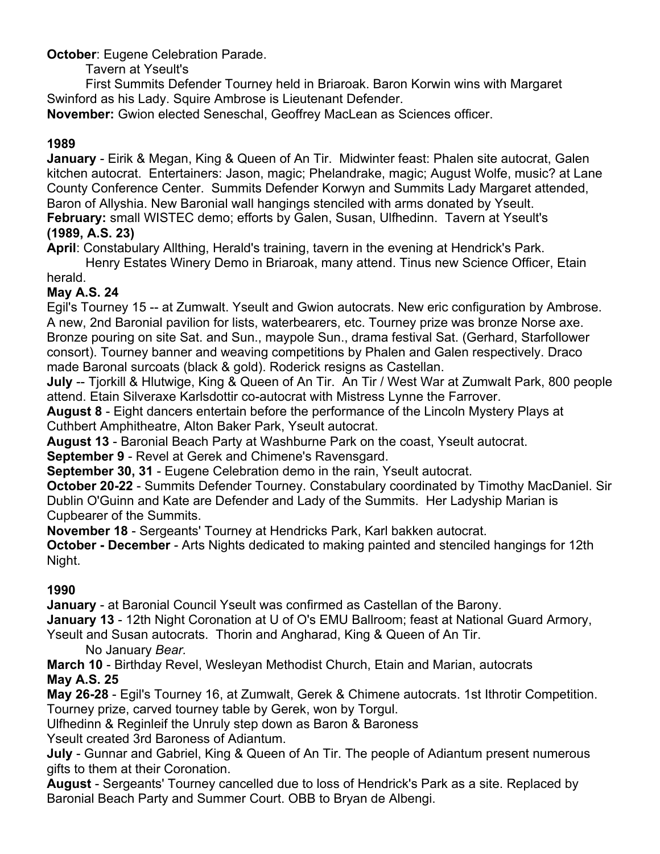**October**: Eugene Celebration Parade.

Tavern at Yseult's

First Summits Defender Tourney held in Briaroak. Baron Korwin wins with Margaret Swinford as his Lady. Squire Ambrose is Lieutenant Defender.

**November:** Gwion elected Seneschal, Geoffrey MacLean as Sciences officer.

## **1989**

**January** - Eirik & Megan, King & Queen of An Tir. Midwinter feast: Phalen site autocrat, Galen kitchen autocrat. Entertainers: Jason, magic; Phelandrake, magic; August Wolfe, music? at Lane County Conference Center. Summits Defender Korwyn and Summits Lady Margaret attended, Baron of Allyshia. New Baronial wall hangings stenciled with arms donated by Yseult. **February:** small WISTEC demo; efforts by Galen, Susan, Ulfhedinn. Tavern at Yseult's

## **(1989, A.S. 23)**

**April**: Constabulary Allthing, Herald's training, tavern in the evening at Hendrick's Park.

Henry Estates Winery Demo in Briaroak, many attend. Tinus new Science Officer, Etain herald.

## **May A.S. 24**

Egil's Tourney 15 -- at Zumwalt. Yseult and Gwion autocrats. New eric configuration by Ambrose. A new, 2nd Baronial pavilion for lists, waterbearers, etc. Tourney prize was bronze Norse axe. Bronze pouring on site Sat. and Sun., maypole Sun., drama festival Sat. (Gerhard, Starfollower consort). Tourney banner and weaving competitions by Phalen and Galen respectively. Draco made Baronal surcoats (black & gold). Roderick resigns as Castellan.

**July** -- Tjorkill & Hlutwige, King & Queen of An Tir. An Tir / West War at Zumwalt Park, 800 people attend. Etain Silveraxe Karlsdottir co-autocrat with Mistress Lynne the Farrover.

**August 8** - Eight dancers entertain before the performance of the Lincoln Mystery Plays at Cuthbert Amphitheatre, Alton Baker Park, Yseult autocrat.

**August 13** - Baronial Beach Party at Washburne Park on the coast, Yseult autocrat.

**September 9** - Revel at Gerek and Chimene's Ravensgard.

**September 30, 31** - Eugene Celebration demo in the rain, Yseult autocrat.

**October 20-22** - Summits Defender Tourney. Constabulary coordinated by Timothy MacDaniel. Sir Dublin O'Guinn and Kate are Defender and Lady of the Summits. Her Ladyship Marian is Cupbearer of the Summits.

**November 18** - Sergeants' Tourney at Hendricks Park, Karl bakken autocrat.

**October - December** - Arts Nights dedicated to making painted and stenciled hangings for 12th Night.

## **1990**

**January** - at Baronial Council Yseult was confirmed as Castellan of the Barony. **January 13** - 12th Night Coronation at U of O's EMU Ballroom; feast at National Guard Armory, Yseult and Susan autocrats. Thorin and Angharad, King & Queen of An Tir.

No January *Bear.*

**March 10** - Birthday Revel, Wesleyan Methodist Church, Etain and Marian, autocrats **May A.S. 25**

**May 26-28** - Egil's Tourney 16, at Zumwalt, Gerek & Chimene autocrats. 1st Ithrotir Competition. Tourney prize, carved tourney table by Gerek, won by Torgul.

Ulfhedinn & Reginleif the Unruly step down as Baron & Baroness

Yseult created 3rd Baroness of Adiantum.

**July** - Gunnar and Gabriel, King & Queen of An Tir. The people of Adiantum present numerous gifts to them at their Coronation.

**August** - Sergeants' Tourney cancelled due to loss of Hendrick's Park as a site. Replaced by Baronial Beach Party and Summer Court. OBB to Bryan de Albengi.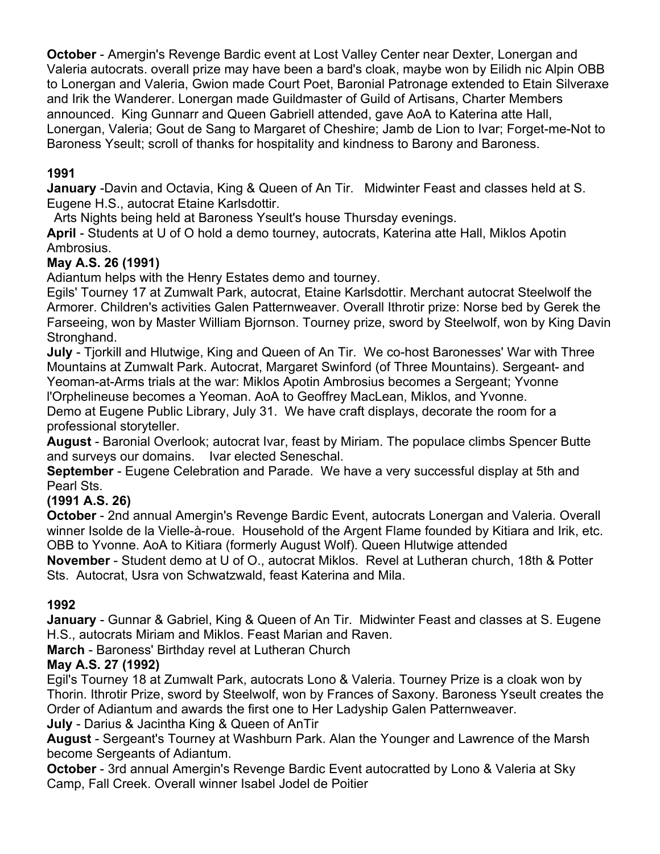**October** - Amergin's Revenge Bardic event at Lost Valley Center near Dexter, Lonergan and Valeria autocrats. overall prize may have been a bard's cloak, maybe won by Eilidh nic Alpin OBB to Lonergan and Valeria, Gwion made Court Poet, Baronial Patronage extended to Etain Silveraxe and Irik the Wanderer. Lonergan made Guildmaster of Guild of Artisans, Charter Members announced. King Gunnarr and Queen Gabriell attended, gave AoA to Katerina atte Hall, Lonergan, Valeria; Gout de Sang to Margaret of Cheshire; Jamb de Lion to Ivar; Forget-me-Not to Baroness Yseult; scroll of thanks for hospitality and kindness to Barony and Baroness.

## **1991**

**January** -Davin and Octavia, King & Queen of An Tir. Midwinter Feast and classes held at S. Eugene H.S., autocrat Etaine Karlsdottir.

Arts Nights being held at Baroness Yseult's house Thursday evenings.

**April** - Students at U of O hold a demo tourney, autocrats, Katerina atte Hall, Miklos Apotin Ambrosius.

## **May A.S. 26 (1991)**

Adiantum helps with the Henry Estates demo and tourney.

Egils' Tourney 17 at Zumwalt Park, autocrat, Etaine Karlsdottir. Merchant autocrat Steelwolf the Armorer. Children's activities Galen Patternweaver. Overall Ithrotir prize: Norse bed by Gerek the Farseeing, won by Master William Bjornson. Tourney prize, sword by Steelwolf, won by King Davin Stronghand.

**July** - Tjorkill and Hlutwige, King and Queen of An Tir. We co-host Baronesses' War with Three Mountains at Zumwalt Park. Autocrat, Margaret Swinford (of Three Mountains). Sergeant- and Yeoman-at-Arms trials at the war: Miklos Apotin Ambrosius becomes a Sergeant; Yvonne l'Orphelineuse becomes a Yeoman. AoA to Geoffrey MacLean, Miklos, and Yvonne. Demo at Eugene Public Library, July 31. We have craft displays, decorate the room for a professional storyteller.

**August** - Baronial Overlook; autocrat Ivar, feast by Miriam. The populace climbs Spencer Butte and surveys our domains. Ivar elected Seneschal.

**September** - Eugene Celebration and Parade. We have a very successful display at 5th and Pearl Sts.

## **(1991 A.S. 26)**

**October** - 2nd annual Amergin's Revenge Bardic Event, autocrats Lonergan and Valeria. Overall winner Isolde de la Vielle-à-roue. Household of the Argent Flame founded by Kitiara and Irik, etc. OBB to Yvonne. AoA to Kitiara (formerly August Wolf). Queen Hlutwige attended

**November** - Student demo at U of O., autocrat Miklos. Revel at Lutheran church, 18th & Potter Sts. Autocrat, Usra von Schwatzwald, feast Katerina and Mila.

## **1992**

**January** - Gunnar & Gabriel, King & Queen of An Tir. Midwinter Feast and classes at S. Eugene H.S., autocrats Miriam and Miklos. Feast Marian and Raven.

**March** - Baroness' Birthday revel at Lutheran Church

## **May A.S. 27 (1992)**

Egil's Tourney 18 at Zumwalt Park, autocrats Lono & Valeria. Tourney Prize is a cloak won by Thorin. Ithrotir Prize, sword by Steelwolf, won by Frances of Saxony. Baroness Yseult creates the Order of Adiantum and awards the first one to Her Ladyship Galen Patternweaver.

**July** - Darius & Jacintha King & Queen of AnTir

**August** - Sergeant's Tourney at Washburn Park. Alan the Younger and Lawrence of the Marsh become Sergeants of Adiantum.

**October** - 3rd annual Amergin's Revenge Bardic Event autocratted by Lono & Valeria at Sky Camp, Fall Creek. Overall winner Isabel Jodel de Poitier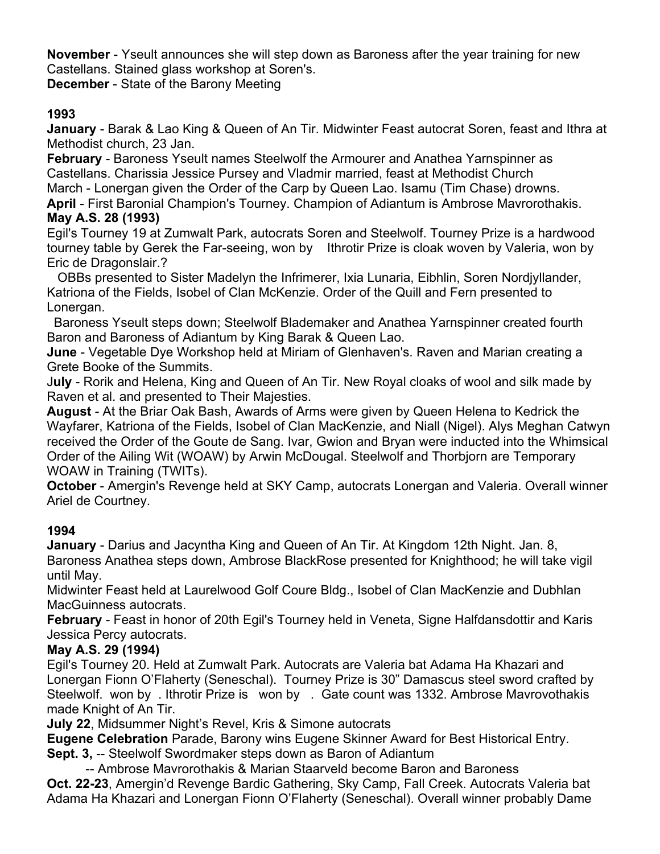**November** - Yseult announces she will step down as Baroness after the year training for new Castellans. Stained glass workshop at Soren's.

**December** - State of the Barony Meeting

## **1993**

**January** - Barak & Lao King & Queen of An Tir. Midwinter Feast autocrat Soren, feast and Ithra at Methodist church, 23 Jan.

**February** - Baroness Yseult names Steelwolf the Armourer and Anathea Yarnspinner as Castellans. Charissia Jessice Pursey and Vladmir married, feast at Methodist Church March - Lonergan given the Order of the Carp by Queen Lao. Isamu (Tim Chase) drowns.

**April** - First Baronial Champion's Tourney. Champion of Adiantum is Ambrose Mavrorothakis.

#### **May A.S. 28 (1993)**

Egil's Tourney 19 at Zumwalt Park, autocrats Soren and Steelwolf. Tourney Prize is a hardwood tourney table by Gerek the Far-seeing, won by Ithrotir Prize is cloak woven by Valeria, won by Eric de Dragonslair.?

 OBBs presented to Sister Madelyn the Infrimerer, Ixia Lunaria, Eibhlin, Soren Nordjyllander, Katriona of the Fields, Isobel of Clan McKenzie. Order of the Quill and Fern presented to Lonergan.

 Baroness Yseult steps down; Steelwolf Blademaker and Anathea Yarnspinner created fourth Baron and Baroness of Adiantum by King Barak & Queen Lao.

**June** - Vegetable Dye Workshop held at Miriam of Glenhaven's. Raven and Marian creating a Grete Booke of the Summits.

J**uly** - Rorik and Helena, King and Queen of An Tir. New Royal cloaks of wool and silk made by Raven et al. and presented to Their Majesties.

**August** - At the Briar Oak Bash, Awards of Arms were given by Queen Helena to Kedrick the Wayfarer, Katriona of the Fields, Isobel of Clan MacKenzie, and Niall (Nigel). Alys Meghan Catwyn received the Order of the Goute de Sang. Ivar, Gwion and Bryan were inducted into the Whimsical Order of the Ailing Wit (WOAW) by Arwin McDougal. Steelwolf and Thorbjorn are Temporary WOAW in Training (TWITs).

**October** - Amergin's Revenge held at SKY Camp, autocrats Lonergan and Valeria. Overall winner Ariel de Courtney.

## **1994**

**January** - Darius and Jacyntha King and Queen of An Tir. At Kingdom 12th Night. Jan. 8, Baroness Anathea steps down, Ambrose BlackRose presented for Knighthood; he will take vigil until May.

Midwinter Feast held at Laurelwood Golf Coure Bldg., Isobel of Clan MacKenzie and Dubhlan MacGuinness autocrats.

**February** - Feast in honor of 20th Egil's Tourney held in Veneta, Signe Halfdansdottir and Karis Jessica Percy autocrats.

#### **May A.S. 29 (1994)**

Egil's Tourney 20. Held at Zumwalt Park. Autocrats are Valeria bat Adama Ha Khazari and Lonergan Fionn O'Flaherty (Seneschal). Tourney Prize is 30" Damascus steel sword crafted by Steelwolf. won by . Ithrotir Prize is won by . Gate count was 1332. Ambrose Mavrovothakis made Knight of An Tir.

**July 22**, Midsummer Night's Revel, Kris & Simone autocrats

**Eugene Celebration** Parade, Barony wins Eugene Skinner Award for Best Historical Entry.

**Sept. 3,** -- Steelwolf Swordmaker steps down as Baron of Adiantum

-- Ambrose Mavrorothakis & Marian Staarveld become Baron and Baroness **Oct. 22-23**, Amergin'd Revenge Bardic Gathering, Sky Camp, Fall Creek. Autocrats Valeria bat Adama Ha Khazari and Lonergan Fionn O'Flaherty (Seneschal). Overall winner probably Dame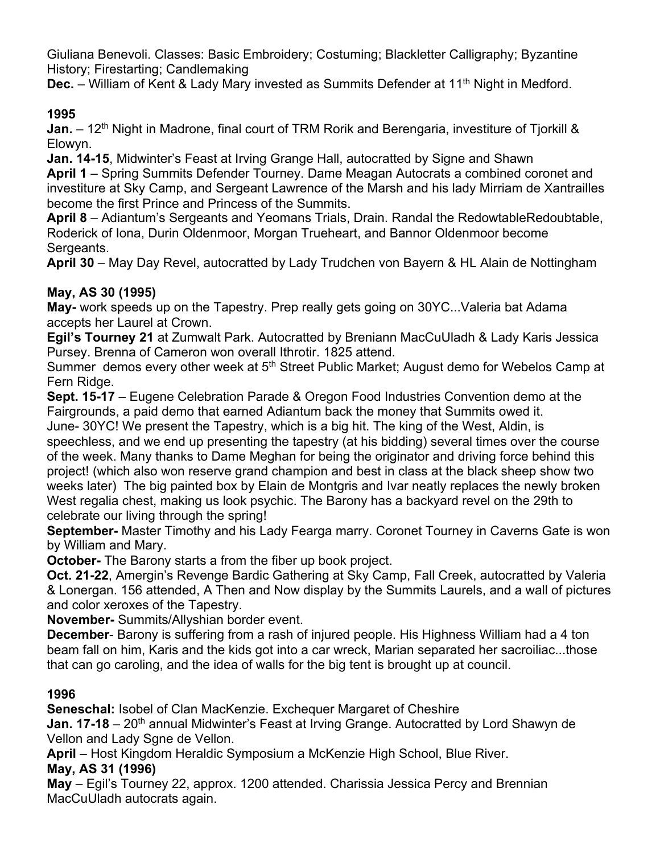Giuliana Benevoli. Classes: Basic Embroidery; Costuming; Blackletter Calligraphy; Byzantine History; Firestarting; Candlemaking

**Dec.** – William of Kent & Lady Mary invested as Summits Defender at 11<sup>th</sup> Night in Medford.

## **1995**

**Jan.** – 12<sup>th</sup> Night in Madrone, final court of TRM Rorik and Berengaria, investiture of Tjorkill & Elowyn.

**Jan. 14-15**, Midwinter's Feast at Irving Grange Hall, autocratted by Signe and Shawn **April 1** – Spring Summits Defender Tourney. Dame Meagan Autocrats a combined coronet and investiture at Sky Camp, and Sergeant Lawrence of the Marsh and his lady Mirriam de Xantrailles become the first Prince and Princess of the Summits.

**April 8** – Adiantum's Sergeants and Yeomans Trials, Drain. Randal the RedowtableRedoubtable, Roderick of Iona, Durin Oldenmoor, Morgan Trueheart, and Bannor Oldenmoor become Sergeants.

**April 30** – May Day Revel, autocratted by Lady Trudchen von Bayern & HL Alain de Nottingham

## **May, AS 30 (1995)**

**May-** work speeds up on the Tapestry. Prep really gets going on 30YC...Valeria bat Adama accepts her Laurel at Crown.

**Egil's Tourney 21** at Zumwalt Park. Autocratted by Breniann MacCuUladh & Lady Karis Jessica Pursey. Brenna of Cameron won overall Ithrotir. 1825 attend.

Summer demos every other week at 5<sup>th</sup> Street Public Market; August demo for Webelos Camp at Fern Ridge.

**Sept. 15-17** – Eugene Celebration Parade & Oregon Food Industries Convention demo at the Fairgrounds, a paid demo that earned Adiantum back the money that Summits owed it. June- 30YC! We present the Tapestry, which is a big hit. The king of the West, Aldin, is speechless, and we end up presenting the tapestry (at his bidding) several times over the course of the week. Many thanks to Dame Meghan for being the originator and driving force behind this project! (which also won reserve grand champion and best in class at the black sheep show two weeks later) The big painted box by Elain de Montgris and Ivar neatly replaces the newly broken West regalia chest, making us look psychic. The Barony has a backyard revel on the 29th to celebrate our living through the spring!

**September-** Master Timothy and his Lady Fearga marry. Coronet Tourney in Caverns Gate is won by William and Mary.

**October-** The Barony starts a from the fiber up book project.

**Oct. 21-22**, Amergin's Revenge Bardic Gathering at Sky Camp, Fall Creek, autocratted by Valeria & Lonergan. 156 attended, A Then and Now display by the Summits Laurels, and a wall of pictures and color xeroxes of the Tapestry.

**November-** Summits/Allyshian border event.

**December**- Barony is suffering from a rash of injured people. His Highness William had a 4 ton beam fall on him, Karis and the kids got into a car wreck, Marian separated her sacroiliac...those that can go caroling, and the idea of walls for the big tent is brought up at council.

## **1996**

**Seneschal:** Isobel of Clan MacKenzie. Exchequer Margaret of Cheshire

**Jan. 17-18** – 20<sup>th</sup> annual Midwinter's Feast at Irving Grange. Autocratted by Lord Shawyn de Vellon and Lady Sgne de Vellon.

**April** – Host Kingdom Heraldic Symposium a McKenzie High School, Blue River. **May, AS 31 (1996)**

**May** – Egil's Tourney 22, approx. 1200 attended. Charissia Jessica Percy and Brennian MacCuUladh autocrats again.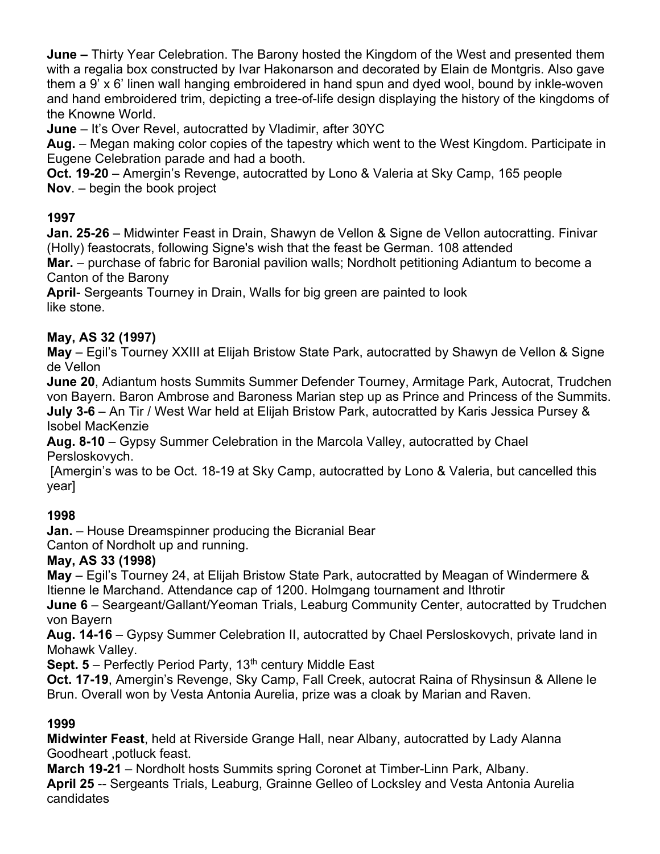**June –** Thirty Year Celebration. The Barony hosted the Kingdom of the West and presented them with a regalia box constructed by Ivar Hakonarson and decorated by Elain de Montgris. Also gave them a 9' x 6' linen wall hanging embroidered in hand spun and dyed wool, bound by inkle-woven and hand embroidered trim, depicting a tree-of-life design displaying the history of the kingdoms of the Knowne World.

**June** – It's Over Revel, autocratted by Vladimir, after 30YC

**Aug.** – Megan making color copies of the tapestry which went to the West Kingdom. Participate in Eugene Celebration parade and had a booth.

**Oct. 19-20** – Amergin's Revenge, autocratted by Lono & Valeria at Sky Camp, 165 people **Nov**. – begin the book project

## **1997**

**Jan. 25-26** – Midwinter Feast in Drain, Shawyn de Vellon & Signe de Vellon autocratting. Finivar (Holly) feastocrats, following Signe's wish that the feast be German. 108 attended

**Mar.** – purchase of fabric for Baronial pavilion walls; Nordholt petitioning Adiantum to become a Canton of the Barony

**April**- Sergeants Tourney in Drain, Walls for big green are painted to look like stone.

### **May, AS 32 (1997)**

**May** – Egil's Tourney XXIII at Elijah Bristow State Park, autocratted by Shawyn de Vellon & Signe de Vellon

**June 20**, Adiantum hosts Summits Summer Defender Tourney, Armitage Park, Autocrat, Trudchen von Bayern. Baron Ambrose and Baroness Marian step up as Prince and Princess of the Summits. **July 3-6** – An Tir / West War held at Elijah Bristow Park, autocratted by Karis Jessica Pursey & Isobel MacKenzie

**Aug. 8-10** – Gypsy Summer Celebration in the Marcola Valley, autocratted by Chael Persloskovych.

[Amergin's was to be Oct. 18-19 at Sky Camp, autocratted by Lono & Valeria, but cancelled this year]

## **1998**

**Jan.** – House Dreamspinner producing the Bicranial Bear

Canton of Nordholt up and running.

## **May, AS 33 (1998)**

**May** – Egil's Tourney 24, at Elijah Bristow State Park, autocratted by Meagan of Windermere & Itienne le Marchand. Attendance cap of 1200. Holmgang tournament and Ithrotir

**June 6** – Seargeant/Gallant/Yeoman Trials, Leaburg Community Center, autocratted by Trudchen von Bayern

**Aug. 14-16** – Gypsy Summer Celebration II, autocratted by Chael Persloskovych, private land in Mohawk Valley.

**Sept. 5** – Perfectly Period Party, 13<sup>th</sup> century Middle East

**Oct. 17-19**, Amergin's Revenge, Sky Camp, Fall Creek, autocrat Raina of Rhysinsun & Allene le Brun. Overall won by Vesta Antonia Aurelia, prize was a cloak by Marian and Raven.

## **1999**

**Midwinter Feast**, held at Riverside Grange Hall, near Albany, autocratted by Lady Alanna Goodheart ,potluck feast.

**March 19-21** – Nordholt hosts Summits spring Coronet at Timber-Linn Park, Albany. **April 25** -- Sergeants Trials, Leaburg, Grainne Gelleo of Locksley and Vesta Antonia Aurelia candidates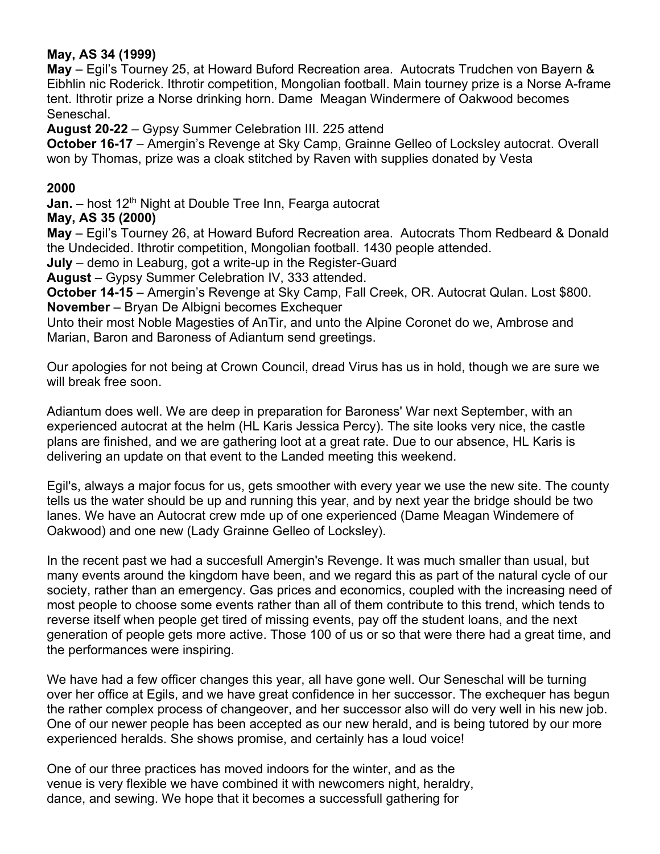#### **May, AS 34 (1999)**

**May** – Egil's Tourney 25, at Howard Buford Recreation area. Autocrats Trudchen von Bayern & Eibhlin nic Roderick. Ithrotir competition, Mongolian football. Main tourney prize is a Norse A-frame tent. Ithrotir prize a Norse drinking horn. Dame Meagan Windermere of Oakwood becomes Seneschal.

**August 20-22** – Gypsy Summer Celebration III. 225 attend

**October 16-17** – Amergin's Revenge at Sky Camp, Grainne Gelleo of Locksley autocrat. Overall won by Thomas, prize was a cloak stitched by Raven with supplies donated by Vesta

#### **2000**

**Jan.** – host 12<sup>th</sup> Night at Double Tree Inn, Fearga autocrat

#### **May, AS 35 (2000)**

**May** – Egil's Tourney 26, at Howard Buford Recreation area. Autocrats Thom Redbeard & Donald the Undecided. Ithrotir competition, Mongolian football. 1430 people attended.

**July** – demo in Leaburg, got a write-up in the Register-Guard

**August** – Gypsy Summer Celebration IV, 333 attended.

**October 14-15** – Amergin's Revenge at Sky Camp, Fall Creek, OR. Autocrat Qulan. Lost \$800. **November** – Bryan De Albigni becomes Exchequer

Unto their most Noble Magesties of AnTir, and unto the Alpine Coronet do we, Ambrose and Marian, Baron and Baroness of Adiantum send greetings.

Our apologies for not being at Crown Council, dread Virus has us in hold, though we are sure we will break free soon.

Adiantum does well. We are deep in preparation for Baroness' War next September, with an experienced autocrat at the helm (HL Karis Jessica Percy). The site looks very nice, the castle plans are finished, and we are gathering loot at a great rate. Due to our absence, HL Karis is delivering an update on that event to the Landed meeting this weekend.

Egil's, always a major focus for us, gets smoother with every year we use the new site. The county tells us the water should be up and running this year, and by next year the bridge should be two lanes. We have an Autocrat crew mde up of one experienced (Dame Meagan Windemere of Oakwood) and one new (Lady Grainne Gelleo of Locksley).

In the recent past we had a succesfull Amergin's Revenge. It was much smaller than usual, but many events around the kingdom have been, and we regard this as part of the natural cycle of our society, rather than an emergency. Gas prices and economics, coupled with the increasing need of most people to choose some events rather than all of them contribute to this trend, which tends to reverse itself when people get tired of missing events, pay off the student loans, and the next generation of people gets more active. Those 100 of us or so that were there had a great time, and the performances were inspiring.

We have had a few officer changes this year, all have gone well. Our Seneschal will be turning over her office at Egils, and we have great confidence in her successor. The exchequer has begun the rather complex process of changeover, and her successor also will do very well in his new job. One of our newer people has been accepted as our new herald, and is being tutored by our more experienced heralds. She shows promise, and certainly has a loud voice!

One of our three practices has moved indoors for the winter, and as the venue is very flexible we have combined it with newcomers night, heraldry, dance, and sewing. We hope that it becomes a successfull gathering for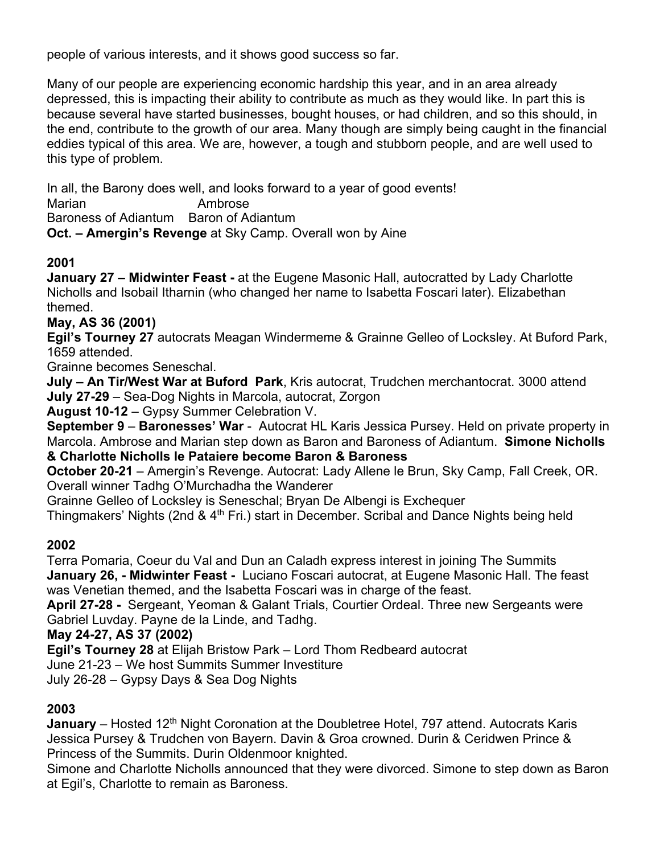people of various interests, and it shows good success so far.

Many of our people are experiencing economic hardship this year, and in an area already depressed, this is impacting their ability to contribute as much as they would like. In part this is because several have started businesses, bought houses, or had children, and so this should, in the end, contribute to the growth of our area. Many though are simply being caught in the financial eddies typical of this area. We are, however, a tough and stubborn people, and are well used to this type of problem.

In all, the Barony does well, and looks forward to a year of good events! Marian **Ambrose** Baroness of Adiantum Baron of Adiantum

**Oct. – Amergin's Revenge** at Sky Camp. Overall won by Aine

## **2001**

**January 27 – Midwinter Feast -** at the Eugene Masonic Hall, autocratted by Lady Charlotte Nicholls and Isobail Itharnin (who changed her name to Isabetta Foscari later). Elizabethan themed.

**May, AS 36 (2001)**

**Egil's Tourney 27** autocrats Meagan Windermeme & Grainne Gelleo of Locksley. At Buford Park, 1659 attended.

Grainne becomes Seneschal.

**July – An Tir/West War at Buford Park**, Kris autocrat, Trudchen merchantocrat. 3000 attend **July 27-29** – Sea-Dog Nights in Marcola, autocrat, Zorgon

**August 10-12** – Gypsy Summer Celebration V.

**September 9** – **Baronesses' War** - Autocrat HL Karis Jessica Pursey. Held on private property in Marcola. Ambrose and Marian step down as Baron and Baroness of Adiantum. **Simone Nicholls & Charlotte Nicholls le Pataiere become Baron & Baroness**

**October 20-21** – Amergin's Revenge. Autocrat: Lady Allene le Brun, Sky Camp, Fall Creek, OR. Overall winner Tadhg O'Murchadha the Wanderer

Grainne Gelleo of Locksley is Seneschal; Bryan De Albengi is Exchequer

Thingmakers' Nights (2nd & 4<sup>th</sup> Fri.) start in December. Scribal and Dance Nights being held

## **2002**

Terra Pomaria, Coeur du Val and Dun an Caladh express interest in joining The Summits **January 26, - Midwinter Feast -** Luciano Foscari autocrat, at Eugene Masonic Hall. The feast was Venetian themed, and the Isabetta Foscari was in charge of the feast.

**April 27-28 -** Sergeant, Yeoman & Galant Trials, Courtier Ordeal. Three new Sergeants were Gabriel Luvday. Payne de la Linde, and Tadhg.

**May 24-27, AS 37 (2002)**

**Egil's Tourney 28** at Elijah Bristow Park – Lord Thom Redbeard autocrat

June 21-23 – We host Summits Summer Investiture

July 26-28 – Gypsy Days & Sea Dog Nights

## **2003**

**January** – Hosted 12<sup>th</sup> Night Coronation at the Doubletree Hotel, 797 attend. Autocrats Karis Jessica Pursey & Trudchen von Bayern. Davin & Groa crowned. Durin & Ceridwen Prince & Princess of the Summits. Durin Oldenmoor knighted.

Simone and Charlotte Nicholls announced that they were divorced. Simone to step down as Baron at Egil's, Charlotte to remain as Baroness.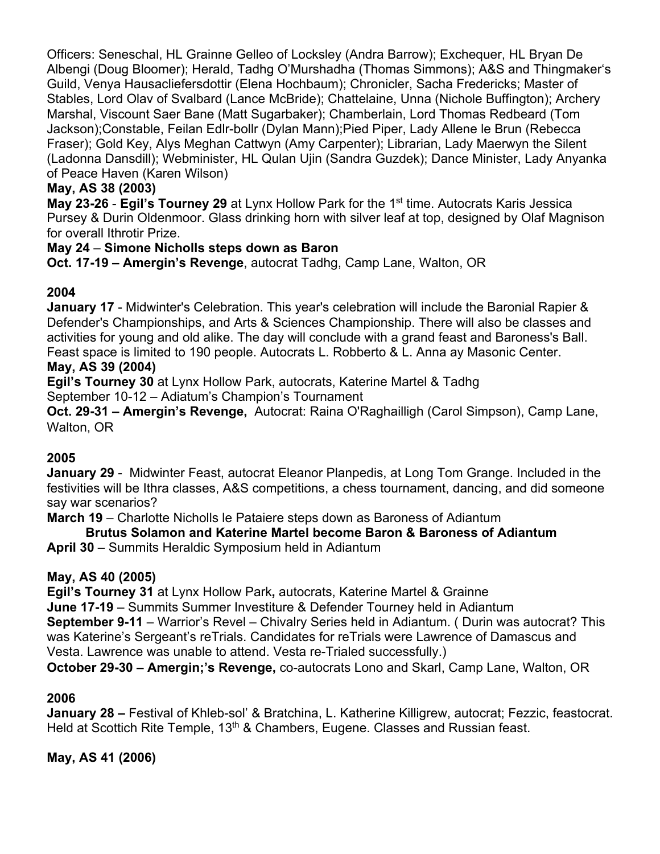Officers: Seneschal, HL Grainne Gelleo of Locksley (Andra Barrow); Exchequer, HL Bryan De Albengi (Doug Bloomer); Herald, Tadhg O'Murshadha (Thomas Simmons); A&S and Thingmaker's Guild, Venya Hausacliefersdottir (Elena Hochbaum); Chronicler, Sacha Fredericks; Master of Stables, Lord Olav of Svalbard (Lance McBride); Chattelaine, Unna (Nichole Buffington); Archery Marshal, Viscount Saer Bane (Matt Sugarbaker); Chamberlain, Lord Thomas Redbeard (Tom Jackson);Constable, Feilan Edlr-bollr (Dylan Mann);Pied Piper, Lady Allene le Brun (Rebecca Fraser); Gold Key, Alys Meghan Cattwyn (Amy Carpenter); Librarian, Lady Maerwyn the Silent (Ladonna Dansdill); Webminister, HL Qulan Ujin (Sandra Guzdek); Dance Minister, Lady Anyanka of Peace Haven (Karen Wilson)

### **May, AS 38 (2003)**

**May 23-26 - Egil's Tourney 29** at Lynx Hollow Park for the 1<sup>st</sup> time. Autocrats Karis Jessica Pursey & Durin Oldenmoor. Glass drinking horn with silver leaf at top, designed by Olaf Magnison for overall Ithrotir Prize.

#### **May 24** – **Simone Nicholls steps down as Baron**

**Oct. 17-19 – Amergin's Revenge**, autocrat Tadhg, Camp Lane, Walton, OR

#### **2004**

**January 17** - Midwinter's Celebration. This year's celebration will include the Baronial Rapier & Defender's Championships, and Arts & Sciences Championship. There will also be classes and activities for young and old alike. The day will conclude with a grand feast and Baroness's Ball. Feast space is limited to 190 people. Autocrats L. Robberto & L. Anna ay Masonic Center. **May, AS 39 (2004)**

## **Egil's Tourney 30** at Lynx Hollow Park, autocrats, Katerine Martel & Tadhg

September 10-12 – Adiatum's Champion's Tournament

**Oct. 29-31 – Amergin's Revenge,** Autocrat: Raina O'Raghailligh (Carol Simpson), Camp Lane, Walton, OR

#### **2005**

**January 29** - Midwinter Feast, autocrat Eleanor Planpedis, at Long Tom Grange. Included in the festivities will be Ithra classes, A&S competitions, a chess tournament, dancing, and did someone say war scenarios?

**March 19** – Charlotte Nicholls le Pataiere steps down as Baroness of Adiantum

#### **Brutus Solamon and Katerine Martel become Baron & Baroness of Adiantum**

**April 30** – Summits Heraldic Symposium held in Adiantum

#### **May, AS 40 (2005)**

**Egil's Tourney 31** at Lynx Hollow Park**,** autocrats, Katerine Martel & Grainne

**June 17-19** – Summits Summer Investiture & Defender Tourney held in Adiantum

**September 9-11** – Warrior's Revel – Chivalry Series held in Adiantum. ( Durin was autocrat? This was Katerine's Sergeant's reTrials. Candidates for reTrials were Lawrence of Damascus and Vesta. Lawrence was unable to attend. Vesta re-Trialed successfully.)

**October 29-30 – Amergin;'s Revenge,** co-autocrats Lono and Skarl, Camp Lane, Walton, OR

#### **2006**

**January 28 –** Festival of Khleb-sol' & Bratchina, L. Katherine Killigrew, autocrat; Fezzic, feastocrat. Held at Scottich Rite Temple, 13<sup>th</sup> & Chambers, Eugene. Classes and Russian feast.

**May, AS 41 (2006)**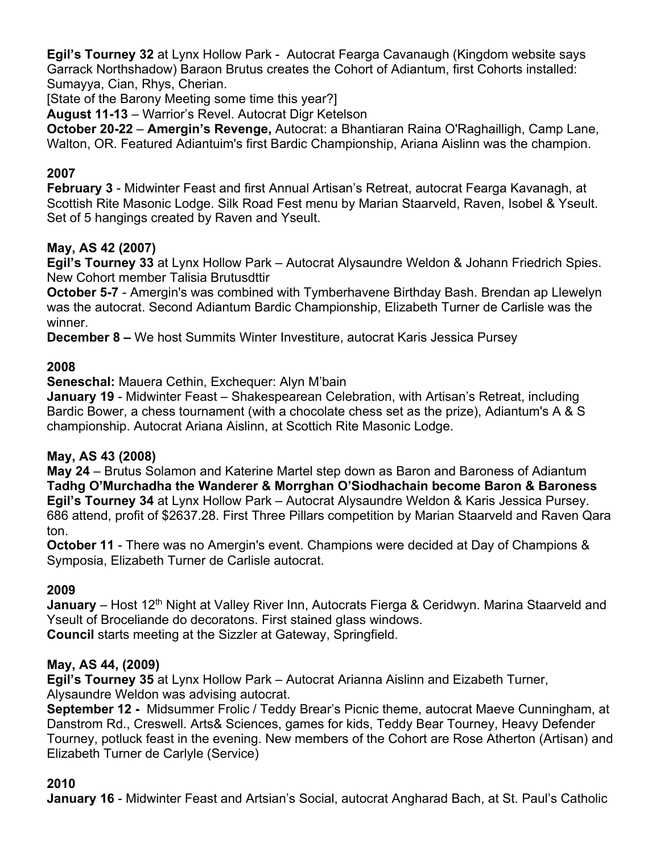**Egil's Tourney 32** at Lynx Hollow Park - Autocrat Fearga Cavanaugh (Kingdom website says Garrack Northshadow) Baraon Brutus creates the Cohort of Adiantum, first Cohorts installed: Sumayya, Cian, Rhys, Cherian.

[State of the Barony Meeting some time this year?]

**August 11-13** – Warrior's Revel. Autocrat Digr Ketelson

**October 20-22** – **Amergin's Revenge,** Autocrat: a Bhantiaran Raina O'Raghailligh, Camp Lane, Walton, OR. Featured Adiantuim's first Bardic Championship, Ariana Aislinn was the champion.

## **2007**

**February 3** - Midwinter Feast and first Annual Artisan's Retreat, autocrat Fearga Kavanagh, at Scottish Rite Masonic Lodge. Silk Road Fest menu by Marian Staarveld, Raven, Isobel & Yseult. Set of 5 hangings created by Raven and Yseult.

### **May, AS 42 (2007)**

**Egil's Tourney 33** at Lynx Hollow Park – Autocrat Alysaundre Weldon & Johann Friedrich Spies. New Cohort member Talisia Brutusdttir

**October 5-7** - Amergin's was combined with Tymberhavene Birthday Bash. Brendan ap Llewelyn was the autocrat. Second Adiantum Bardic Championship, Elizabeth Turner de Carlisle was the winner.

**December 8 –** We host Summits Winter Investiture, autocrat Karis Jessica Pursey

#### **2008**

**Seneschal:** Mauera Cethin, Exchequer: Alyn M'bain

**January 19** - Midwinter Feast – Shakespearean Celebration, with Artisan's Retreat, including Bardic Bower, a chess tournament (with a chocolate chess set as the prize), Adiantum's A & S championship. Autocrat Ariana Aislinn, at Scottich Rite Masonic Lodge.

#### **May, AS 43 (2008)**

**May 24** – Brutus Solamon and Katerine Martel step down as Baron and Baroness of Adiantum **Tadhg O'Murchadha the Wanderer & Morrghan O'Siodhachain become Baron & Baroness Egil's Tourney 34** at Lynx Hollow Park – Autocrat Alysaundre Weldon & Karis Jessica Pursey. 686 attend, profit of \$2637.28. First Three Pillars competition by Marian Staarveld and Raven Qara ton.

**October 11** - There was no Amergin's event. Champions were decided at Day of Champions & Symposia, Elizabeth Turner de Carlisle autocrat.

#### **2009**

January - Host 12<sup>th</sup> Night at Valley River Inn, Autocrats Fierga & Ceridwyn. Marina Staarveld and Yseult of Broceliande do decoratons. First stained glass windows. **Council** starts meeting at the Sizzler at Gateway, Springfield.

#### **May, AS 44, (2009)**

**Egil's Tourney 35** at Lynx Hollow Park – Autocrat Arianna Aislinn and Eizabeth Turner, Alysaundre Weldon was advising autocrat.

**September 12 -** Midsummer Frolic / Teddy Brear's Picnic theme, autocrat Maeve Cunningham, at Danstrom Rd., Creswell. Arts& Sciences, games for kids, Teddy Bear Tourney, Heavy Defender Tourney, potluck feast in the evening. New members of the Cohort are Rose Atherton (Artisan) and Elizabeth Turner de Carlyle (Service)

#### **2010**

**January 16** - Midwinter Feast and Artsian's Social, autocrat Angharad Bach, at St. Paul's Catholic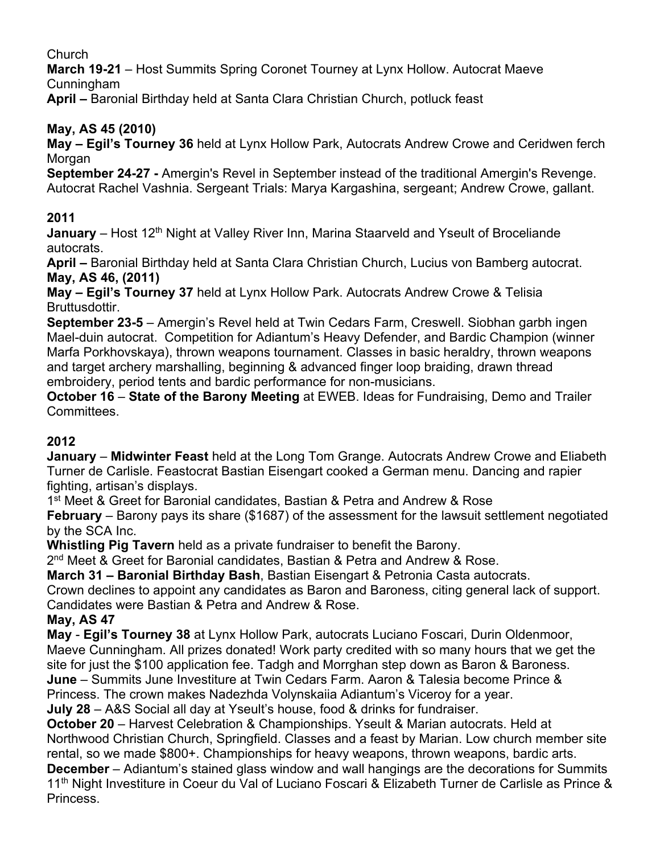## Church

**March 19-21** – Host Summits Spring Coronet Tourney at Lynx Hollow. Autocrat Maeve Cunningham

**April –** Baronial Birthday held at Santa Clara Christian Church, potluck feast

## **May, AS 45 (2010)**

**May – Egil's Tourney 36** held at Lynx Hollow Park, Autocrats Andrew Crowe and Ceridwen ferch Morgan

**September 24-27 -** Amergin's Revel in September instead of the traditional Amergin's Revenge. Autocrat Rachel Vashnia. Sergeant Trials: Marya Kargashina, sergeant; Andrew Crowe, gallant.

## **2011**

**January** – Host 12<sup>th</sup> Night at Valley River Inn, Marina Staarveld and Yseult of Broceliande autocrats.

**April –** Baronial Birthday held at Santa Clara Christian Church, Lucius von Bamberg autocrat. **May, AS 46, (2011)**

**May – Egil's Tourney 37** held at Lynx Hollow Park. Autocrats Andrew Crowe & Telisia Bruttusdottir.

**September 23-5** – Amergin's Revel held at Twin Cedars Farm, Creswell. Siobhan garbh ingen Mael-duin autocrat. Competition for Adiantum's Heavy Defender, and Bardic Champion (winner Marfa Porkhovskaya), thrown weapons tournament. Classes in basic heraldry, thrown weapons and target archery marshalling, beginning & advanced finger loop braiding, drawn thread embroidery, period tents and bardic performance for non-musicians.

**October 16** – **State of the Barony Meeting** at EWEB. Ideas for Fundraising, Demo and Trailer Committees.

## **2012**

**January** – **Midwinter Feast** held at the Long Tom Grange. Autocrats Andrew Crowe and Eliabeth Turner de Carlisle. Feastocrat Bastian Eisengart cooked a German menu. Dancing and rapier fighting, artisan's displays.

1st Meet & Greet for Baronial candidates, Bastian & Petra and Andrew & Rose

**February** – Barony pays its share (\$1687) of the assessment for the lawsuit settlement negotiated by the SCA Inc.

**Whistling Pig Tavern** held as a private fundraiser to benefit the Barony.

2<sup>nd</sup> Meet & Greet for Baronial candidates, Bastian & Petra and Andrew & Rose.

**March 31 – Baronial Birthday Bash**, Bastian Eisengart & Petronia Casta autocrats.

Crown declines to appoint any candidates as Baron and Baroness, citing general lack of support. Candidates were Bastian & Petra and Andrew & Rose.

## **May, AS 47**

**May** - **Egil's Tourney 38** at Lynx Hollow Park, autocrats Luciano Foscari, Durin Oldenmoor, Maeve Cunningham. All prizes donated! Work party credited with so many hours that we get the site for just the \$100 application fee. Tadgh and Morrghan step down as Baron & Baroness.

**June** – Summits June Investiture at Twin Cedars Farm. Aaron & Talesia become Prince &

Princess. The crown makes Nadezhda Volynskaiia Adiantum's Viceroy for a year.

**July 28** – A&S Social all day at Yseult's house, food & drinks for fundraiser.

**October 20** – Harvest Celebration & Championships. Yseult & Marian autocrats. Held at Northwood Christian Church, Springfield. Classes and a feast by Marian. Low church member site rental, so we made \$800+. Championships for heavy weapons, thrown weapons, bardic arts.

**December** – Adiantum's stained glass window and wall hangings are the decorations for Summits 11<sup>th</sup> Night Investiture in Coeur du Val of Luciano Foscari & Elizabeth Turner de Carlisle as Prince & Princess.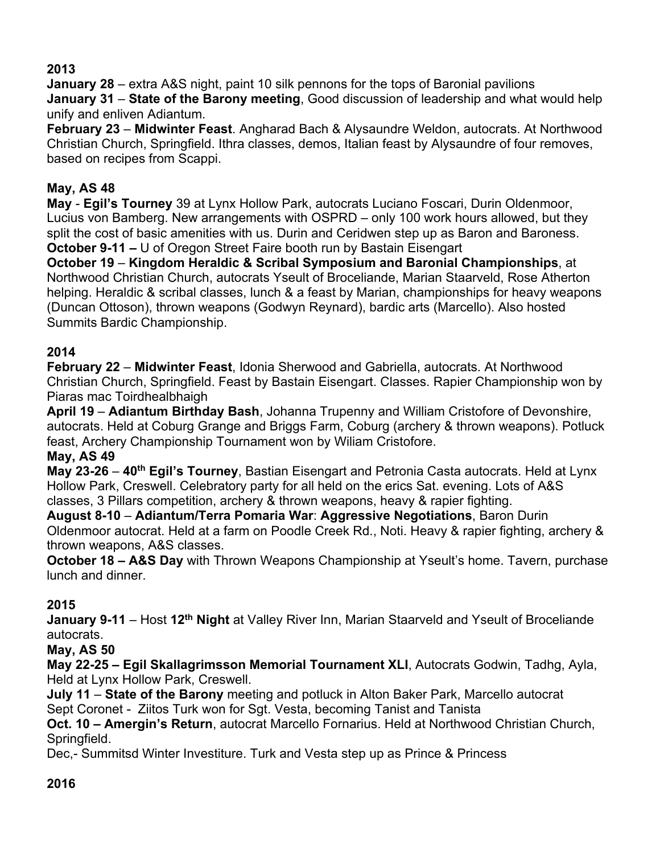## **2013**

**January 28** – extra A&S night, paint 10 silk pennons for the tops of Baronial pavilions **January 31** – **State of the Barony meeting**, Good discussion of leadership and what would help unify and enliven Adiantum.

**February 23** – **Midwinter Feast**. Angharad Bach & Alysaundre Weldon, autocrats. At Northwood Christian Church, Springfield. Ithra classes, demos, Italian feast by Alysaundre of four removes, based on recipes from Scappi.

## **May, AS 48**

**May** - **Egil's Tourney** 39 at Lynx Hollow Park, autocrats Luciano Foscari, Durin Oldenmoor, Lucius von Bamberg. New arrangements with OSPRD – only 100 work hours allowed, but they split the cost of basic amenities with us. Durin and Ceridwen step up as Baron and Baroness. **October 9-11 –** U of Oregon Street Faire booth run by Bastain Eisengart

**October 19** – **Kingdom Heraldic & Scribal Symposium and Baronial Championships**, at Northwood Christian Church, autocrats Yseult of Broceliande, Marian Staarveld, Rose Atherton helping. Heraldic & scribal classes, lunch & a feast by Marian, championships for heavy weapons (Duncan Ottoson), thrown weapons (Godwyn Reynard), bardic arts (Marcello). Also hosted Summits Bardic Championship.

## **2014**

**February 22** – **Midwinter Feast**, Idonia Sherwood and Gabriella, autocrats. At Northwood Christian Church, Springfield. Feast by Bastain Eisengart. Classes. Rapier Championship won by Piaras mac Toirdhealbhaigh

**April 19** – **Adiantum Birthday Bash**, Johanna Trupenny and William Cristofore of Devonshire, autocrats. Held at Coburg Grange and Briggs Farm, Coburg (archery & thrown weapons). Potluck feast, Archery Championship Tournament won by Wiliam Cristofore.

## **May, AS 49**

**May 23-26** – **40th Egil's Tourney**, Bastian Eisengart and Petronia Casta autocrats. Held at Lynx Hollow Park, Creswell. Celebratory party for all held on the erics Sat. evening. Lots of A&S classes, 3 Pillars competition, archery & thrown weapons, heavy & rapier fighting.

**August 8-10** – **Adiantum/Terra Pomaria War**: **Aggressive Negotiations**, Baron Durin Oldenmoor autocrat. Held at a farm on Poodle Creek Rd., Noti. Heavy & rapier fighting, archery & thrown weapons, A&S classes.

**October 18 – A&S Day** with Thrown Weapons Championship at Yseult's home. Tavern, purchase lunch and dinner.

## **2015**

**January 9-11** – Host **12th Night** at Valley River Inn, Marian Staarveld and Yseult of Broceliande autocrats.

#### **May, AS 50**

**May 22-25 – Egil Skallagrimsson Memorial Tournament XLI**, Autocrats Godwin, Tadhg, Ayla, Held at Lynx Hollow Park, Creswell.

**July 11** – **State of the Barony** meeting and potluck in Alton Baker Park, Marcello autocrat Sept Coronet - Ziitos Turk won for Sgt. Vesta, becoming Tanist and Tanista

**Oct. 10 – Amergin's Return**, autocrat Marcello Fornarius. Held at Northwood Christian Church, Springfield.

Dec,- Summitsd Winter Investiture. Turk and Vesta step up as Prince & Princess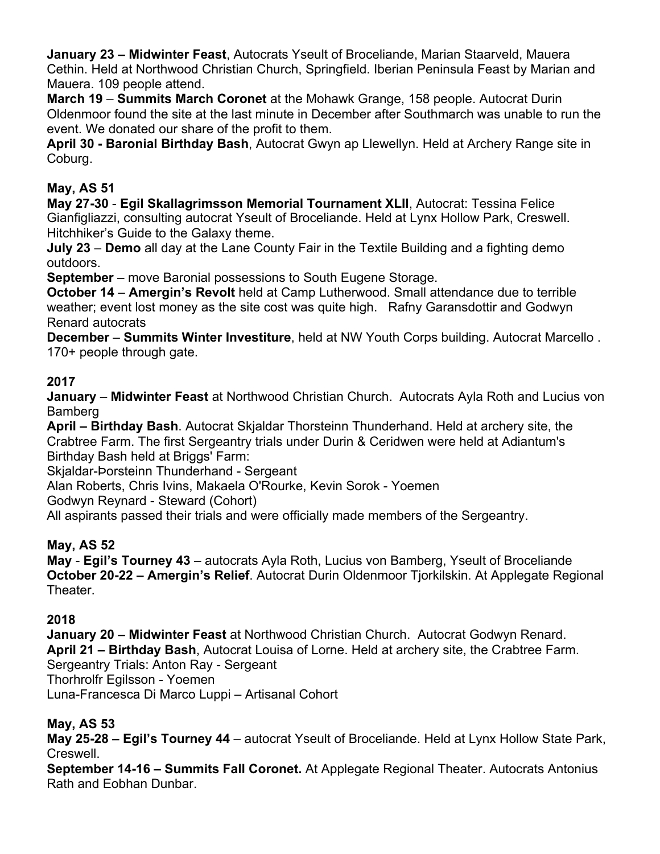**January 23 – Midwinter Feast**, Autocrats Yseult of Broceliande, Marian Staarveld, Mauera Cethin. Held at Northwood Christian Church, Springfield. Iberian Peninsula Feast by Marian and Mauera. 109 people attend.

**March 19** – **Summits March Coronet** at the Mohawk Grange, 158 people. Autocrat Durin Oldenmoor found the site at the last minute in December after Southmarch was unable to run the event. We donated our share of the profit to them.

**April 30 - Baronial Birthday Bash**, Autocrat Gwyn ap Llewellyn. Held at Archery Range site in Coburg.

## **May, AS 51**

**May 27-30** - **Egil Skallagrimsson Memorial Tournament XLII**, Autocrat: Tessina Felice Gianfigliazzi, consulting autocrat Yseult of Broceliande. Held at Lynx Hollow Park, Creswell. Hitchhiker's Guide to the Galaxy theme.

**July 23** – **Demo** all day at the Lane County Fair in the Textile Building and a fighting demo outdoors.

**September** – move Baronial possessions to South Eugene Storage.

**October 14** – **Amergin's Revolt** held at Camp Lutherwood. Small attendance due to terrible weather; event lost money as the site cost was quite high. Rafny Garansdottir and Godwyn Renard autocrats

**December** – **Summits Winter Investiture**, held at NW Youth Corps building. Autocrat Marcello . 170+ people through gate.

## **2017**

**January** – **Midwinter Feast** at Northwood Christian Church. Autocrats Ayla Roth and Lucius von Bamberg

**April – Birthday Bash**. Autocrat Skjaldar Thorsteinn Thunderhand. Held at archery site, the Crabtree Farm. The first Sergeantry trials under Durin & Ceridwen were held at Adiantum's Birthday Bash held at Briggs' Farm:

Skjaldar-Þorsteinn Thunderhand - Sergeant

Alan Roberts, Chris Ivins, Makaela O'Rourke, Kevin Sorok - Yoemen

Godwyn Reynard - Steward (Cohort)

All aspirants passed their trials and were officially made members of the Sergeantry.

## **May, AS 52**

**May** - **Egil's Tourney 43** – autocrats Ayla Roth, Lucius von Bamberg, Yseult of Broceliande **October 20-22 – Amergin's Relief**. Autocrat Durin Oldenmoor Tjorkilskin. At Applegate Regional Theater.

## **2018**

**January 20 – Midwinter Feast** at Northwood Christian Church. Autocrat Godwyn Renard. **April 21 – Birthday Bash**, Autocrat Louisa of Lorne. Held at archery site, the Crabtree Farm. Sergeantry Trials: Anton Ray - Sergeant Thorhrolfr Egilsson - Yoemen Luna-Francesca Di Marco Luppi – Artisanal Cohort

## **May, AS 53**

**May 25-28 – Egil's Tourney 44** – autocrat Yseult of Broceliande. Held at Lynx Hollow State Park, Creswell.

**September 14-16 – Summits Fall Coronet.** At Applegate Regional Theater. Autocrats Antonius Rath and Eobhan Dunbar.